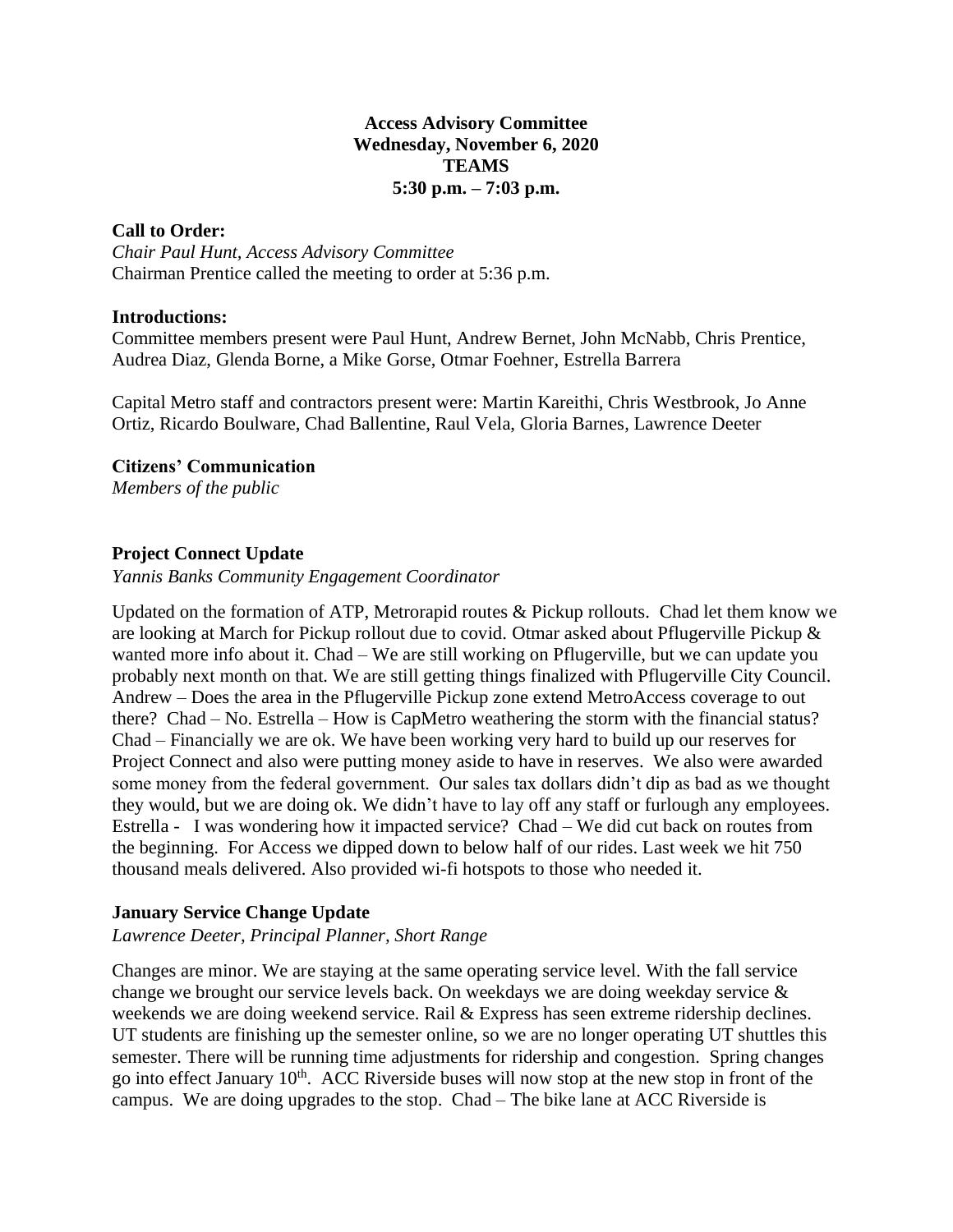## **Access Advisory Committee Wednesday, November 6, 2020 TEAMS 5:30 p.m. – 7:03 p.m.**

### **Call to Order:**

*Chair Paul Hunt, Access Advisory Committee* Chairman Prentice called the meeting to order at 5:36 p.m.

#### **Introductions:**

Committee members present were Paul Hunt, Andrew Bernet, John McNabb, Chris Prentice, Audrea Diaz, Glenda Borne, a Mike Gorse, Otmar Foehner, Estrella Barrera

Capital Metro staff and contractors present were: Martin Kareithi, Chris Westbrook, Jo Anne Ortiz, Ricardo Boulware, Chad Ballentine, Raul Vela, Gloria Barnes, Lawrence Deeter

# **Citizens' Communication**

*Members of the public*

# **Project Connect Update**

#### *Yannis Banks Community Engagement Coordinator*

Updated on the formation of ATP, Metrorapid routes & Pickup rollouts. Chad let them know we are looking at March for Pickup rollout due to covid. Otmar asked about Pflugerville Pickup & wanted more info about it. Chad – We are still working on Pflugerville, but we can update you probably next month on that. We are still getting things finalized with Pflugerville City Council. Andrew – Does the area in the Pflugerville Pickup zone extend MetroAccess coverage to out there? Chad – No. Estrella – How is CapMetro weathering the storm with the financial status? Chad – Financially we are ok. We have been working very hard to build up our reserves for Project Connect and also were putting money aside to have in reserves. We also were awarded some money from the federal government. Our sales tax dollars didn't dip as bad as we thought they would, but we are doing ok. We didn't have to lay off any staff or furlough any employees. Estrella - I was wondering how it impacted service? Chad – We did cut back on routes from the beginning. For Access we dipped down to below half of our rides. Last week we hit 750 thousand meals delivered. Also provided wi-fi hotspots to those who needed it.

# **January Service Change Update**

#### *Lawrence Deeter, Principal Planner, Short Range*

Changes are minor. We are staying at the same operating service level. With the fall service change we brought our service levels back. On weekdays we are doing weekday service & weekends we are doing weekend service. Rail & Express has seen extreme ridership declines. UT students are finishing up the semester online, so we are no longer operating UT shuttles this semester. There will be running time adjustments for ridership and congestion. Spring changes go into effect January 10<sup>th</sup>. ACC Riverside buses will now stop at the new stop in front of the campus. We are doing upgrades to the stop. Chad – The bike lane at ACC Riverside is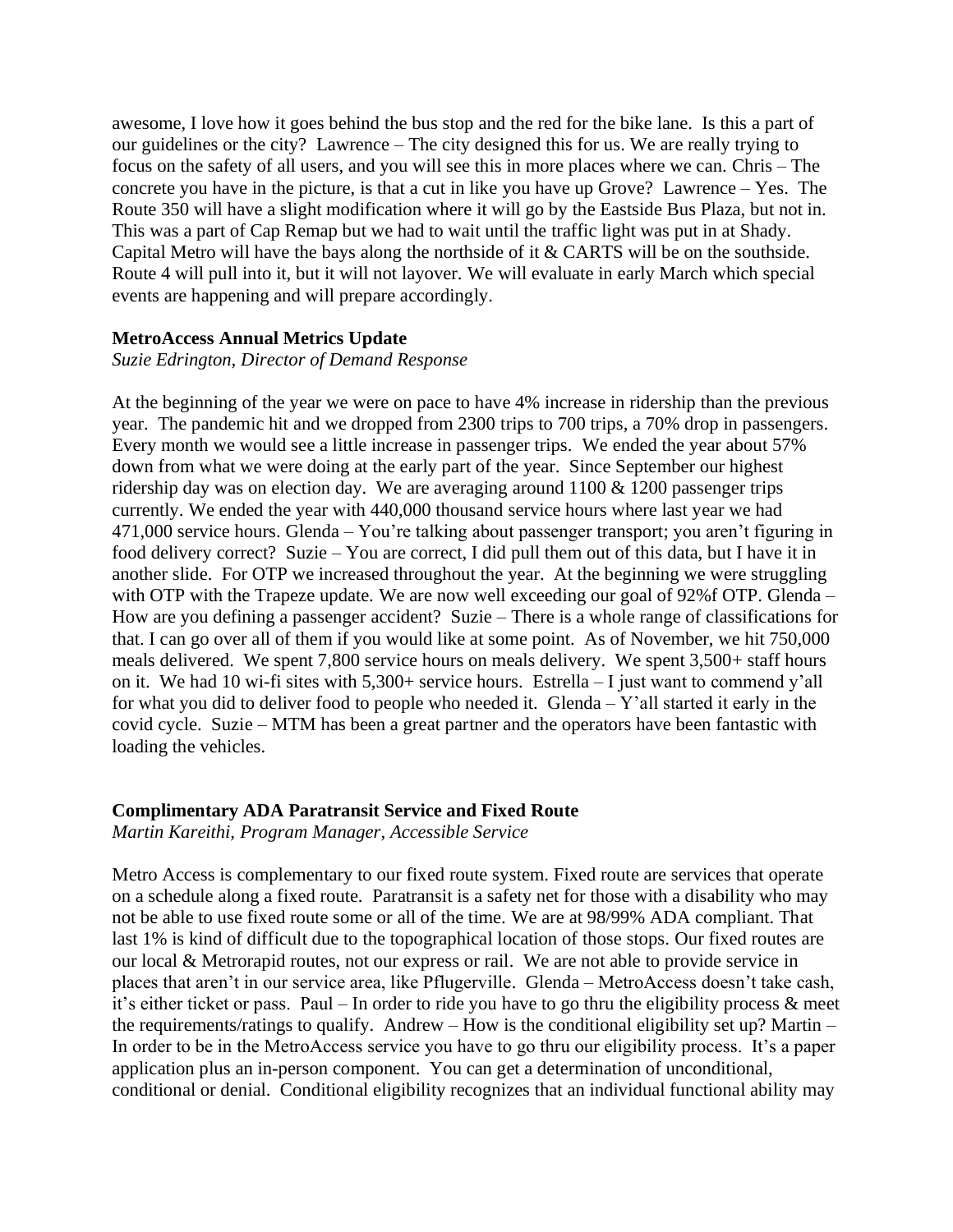awesome, I love how it goes behind the bus stop and the red for the bike lane. Is this a part of our guidelines or the city? Lawrence – The city designed this for us. We are really trying to focus on the safety of all users, and you will see this in more places where we can. Chris – The concrete you have in the picture, is that a cut in like you have up Grove? Lawrence – Yes. The Route 350 will have a slight modification where it will go by the Eastside Bus Plaza, but not in. This was a part of Cap Remap but we had to wait until the traffic light was put in at Shady. Capital Metro will have the bays along the northside of it & CARTS will be on the southside. Route 4 will pull into it, but it will not layover. We will evaluate in early March which special events are happening and will prepare accordingly.

#### **MetroAccess Annual Metrics Update**

*Suzie Edrington, Director of Demand Response*

At the beginning of the year we were on pace to have 4% increase in ridership than the previous year. The pandemic hit and we dropped from 2300 trips to 700 trips, a 70% drop in passengers. Every month we would see a little increase in passenger trips. We ended the year about 57% down from what we were doing at the early part of the year. Since September our highest ridership day was on election day. We are averaging around  $1100 \& 1200$  passenger trips currently. We ended the year with 440,000 thousand service hours where last year we had 471,000 service hours. Glenda – You're talking about passenger transport; you aren't figuring in food delivery correct? Suzie – You are correct, I did pull them out of this data, but I have it in another slide. For OTP we increased throughout the year. At the beginning we were struggling with OTP with the Trapeze update. We are now well exceeding our goal of 92%f OTP. Glenda – How are you defining a passenger accident? Suzie – There is a whole range of classifications for that. I can go over all of them if you would like at some point. As of November, we hit 750,000 meals delivered. We spent 7,800 service hours on meals delivery. We spent 3,500+ staff hours on it. We had 10 wi-fi sites with 5,300+ service hours. Estrella – I just want to commend y'all for what you did to deliver food to people who needed it. Glenda – Y'all started it early in the covid cycle. Suzie – MTM has been a great partner and the operators have been fantastic with loading the vehicles.

#### **Complimentary ADA Paratransit Service and Fixed Route**

*Martin Kareithi, Program Manager, Accessible Service*

Metro Access is complementary to our fixed route system. Fixed route are services that operate on a schedule along a fixed route. Paratransit is a safety net for those with a disability who may not be able to use fixed route some or all of the time. We are at 98/99% ADA compliant. That last 1% is kind of difficult due to the topographical location of those stops. Our fixed routes are our local & Metrorapid routes, not our express or rail. We are not able to provide service in places that aren't in our service area, like Pflugerville. Glenda – MetroAccess doesn't take cash, it's either ticket or pass. Paul – In order to ride you have to go thru the eligibility process & meet the requirements/ratings to qualify. Andrew – How is the conditional eligibility set up? Martin – In order to be in the MetroAccess service you have to go thru our eligibility process. It's a paper application plus an in-person component. You can get a determination of unconditional, conditional or denial. Conditional eligibility recognizes that an individual functional ability may